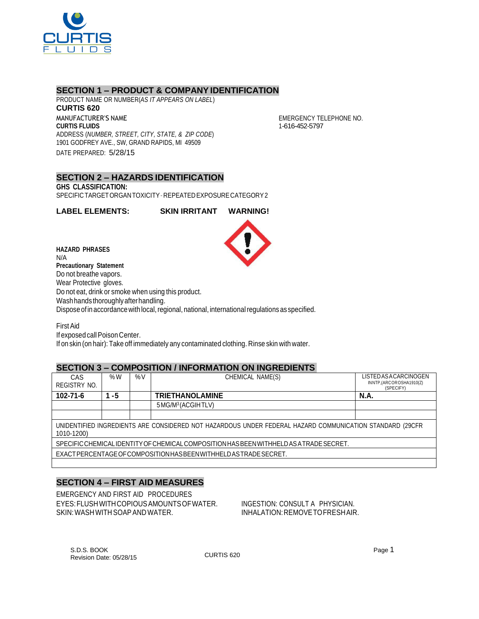

## **SECTION 1 – PRODUCT & COMPANY IDENTIFICATION**

PRODUCT NAME OR NUMBER(*AS IT APPEARS ON LABEL*) **CURTIS 620** MANUFACTURER'S NAME **CURTIS FLUIDS** ADDRESS (*NUMBER, STREET, CITY, STATE, & ZIP CODE*) 1901 GODFREY AVE., SW, GRAND RAPIDS, MI 49509 DATE PREPARED: 5/28/15

EMERGENCY TELEPHONE NO. 1-616-452-5797

### **SECTION 2 – HAZARDS IDENTIFICATION GHS CLASSIFICATION:** SPECIFICTARGETORGANTOXICITY–REPEATEDEXPOSURECATEGORY2

**LABEL ELEMENTS: SKIN IRRITANT WARNING!**

**HAZARD PHRASES** N/A **Precautionary Statement** Do not breathe vapors. Wear Protective gloves. Do not eat, drink or smoke when using this product. Wash hands thoroughly after handling. Dispose of in accordance with local, regional, national, international regulations as specified.

FirstAid If exposed call Poison Center. If on skin (on hair): Take off immediately any contaminated clothing. Rinse skin with water.

# **SECTION 3 – COMPOSITION / INFORMATION ON INGREDIENTS**

| CAS<br>REGISTRY NO.                                                                                                    | % $W$ | %V | CHEMICAL NAME(S)              | <b>LISTED AS A CARCINOGEN</b><br>INNTP,(ARCOROSHA1910(Z)<br>(SPECIFY) |  |  |
|------------------------------------------------------------------------------------------------------------------------|-------|----|-------------------------------|-----------------------------------------------------------------------|--|--|
| 102-71-6                                                                                                               | -5    |    | <b>TRIETHANOLAMINE</b>        | <b>N.A.</b>                                                           |  |  |
|                                                                                                                        |       |    | 5MG/M <sup>3</sup> (ACGIHTLV) |                                                                       |  |  |
|                                                                                                                        |       |    |                               |                                                                       |  |  |
| UNIDENTIFIED INGREDIENTS ARE CONSIDERED NOT HAZARDOUS UNDER FEDERAL HAZARD COMMUNICATION STANDARD (29CFR<br>1010-1200) |       |    |                               |                                                                       |  |  |
| SPECIFIC CHEMICAL IDENTITY OF CHEMICAL COMPOSITION HAS BEEN WITHHELD AS A TRADE SECRET.                                |       |    |                               |                                                                       |  |  |
| EXACT PERCENTAGE OF COMPOSITION HAS BEEN WITH HELD AS TRADE SECRET.                                                    |       |    |                               |                                                                       |  |  |
|                                                                                                                        |       |    |                               |                                                                       |  |  |

# **SECTION 4 – FIRST AID MEASURES**

EMERGENCY AND FIRST AID PROCEDURES EYES:FLUSHWITHCOPIOUSAMOUNTSOFWATER. INGESTION: CONSULT A PHYSICIAN. SKIN: WASH WITH SOAP AND WATER. IN A RELATION: REMOVE TO FRESHAIR.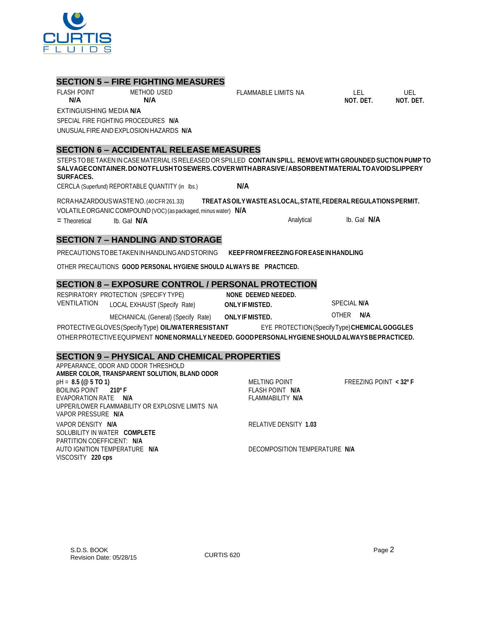Revision Date: 05/28/15

S.D.S. BOOK Page 2

| <u>SECTION 9 – FITTSICAL AND CHEMICAL FINOFENTIES</u> |                               |                        |
|-------------------------------------------------------|-------------------------------|------------------------|
| APPEARANCE, ODOR AND ODOR THRESHOLD                   |                               |                        |
| AMBER COLOR, TRANSPARENT SOLUTION, BLAND ODOR         |                               |                        |
| $pH = 8.5 (@ 5 TO 1)$                                 | MELTING POINT                 | FREEZING POINT < 32º F |
| BOILING POINT 210° F                                  | FLASH POINT N/A               |                        |
| EVAPORATION RATE N/A                                  | FLAMMABILITY N/A              |                        |
| UPPER/LOWER FLAMMABILITY OR EXPLOSIVE LIMITS N/A      |                               |                        |
| VAPOR PRESSURE N/A                                    |                               |                        |
| VAPOR DENSITY N/A                                     | RELATIVE DENSITY 1.03         |                        |
| SOLUBILITY IN WATER COMPLETE                          |                               |                        |
| PARTITION COEFFICIENT: N/A                            |                               |                        |
| AUTO IGNITION TEMPERATURE N/A                         | DECOMPOSITION TEMPERATURE N/A |                        |
| VISCOSITY 220 cps                                     |                               |                        |
|                                                       |                               |                        |

# **SECTION 7 – HANDLING AND STORAGE**

PRECAUTIONSTOBETAKENINHANDLINGANDSTORING **KEEPFROM FREEZING FOREASEINHANDLING**

OTHER PRECAUTIONS **GOOD PERSONAL HYGIENE SHOULD ALWAYS BE PRACTICED.**

# **SECTION 8 – EXPOSURE CONTROL / PERSONAL PROTECTION**

| .                  |                                       |
|--------------------|---------------------------------------|
|                    | RESPIRATORY PROTECTION (SPECIFY TYPE) |
| <b>VENTILATION</b> | LOCAL EXHAUST (Specify Rate)          |

**ONLY IF MISTED.** SPECIAL N/A MECHANICAL (General) (Specify Rate) **ONLYIFMISTED.** OTHER **N/A**

PROTECTIVEGLOVES(SpecifyType) **OIL/WATERRESISTANT** EYE PROTECTION(SpecifyType)**CHEMICALGOGGLES**

OTHERPROTECTIVEEQUIPMENT **NONENORMALLY NEEDED. GOODPERSONALHYGIENESHOULDALWAYSBEPRACTICED.**

FLAMMABLE LIMITS NA LEL UEL

**NOT. DET. NOT. DET.**

RESPIRATORY PROTECTION (SPECIFY TYPE) **NONE DEEMED NEEDED.**

**SECTION 9 – PHYSICAL AND CHEMICAL PROPERTIES**

RCRAHAZARDOUSWASTENO.(40CFR261.33) **TREATASOILYWASTEASLOCAL,STATE,FEDERALREGULATIONSPERMIT.** VOLATILEORGANIC COMPOUND (VOC)(as packaged, minus water) **N/A**

= Theoretical lb. Gal **N/A** Analytical lb. Gal **N/A**

**SURFACES.** CERCLA (Superfund) REPORTABLE QUANTITY (in lbs.) **N/A**

**SECTION 6 – ACCIDENTAL RELEASE MEASURES**

STEPSTOBETAKEN IN CASE MATERIAL IS RELEASED OR SPILLED **CONTAIN SPILL. REMOVE WITH GROUNDED SUCTION PUMP TO SALVAGECONTAINER.DONOTFLUSHTOSEWERS.COVERWITHABRASIVE/ABSORBENTMATERIALTOAVOIDSLIPPERY**

**N/A N/A**

**SECTION 5 – FIRE FIGHTING MEASURES**

EXTINGUISHING MEDIA **N/A** SPECIAL FIRE FIGHTING PROCEDURES **N/A** UNUSUALFIREAND EXPLOSION HAZARDS **N/A**

FLASH POINT METHOD USED